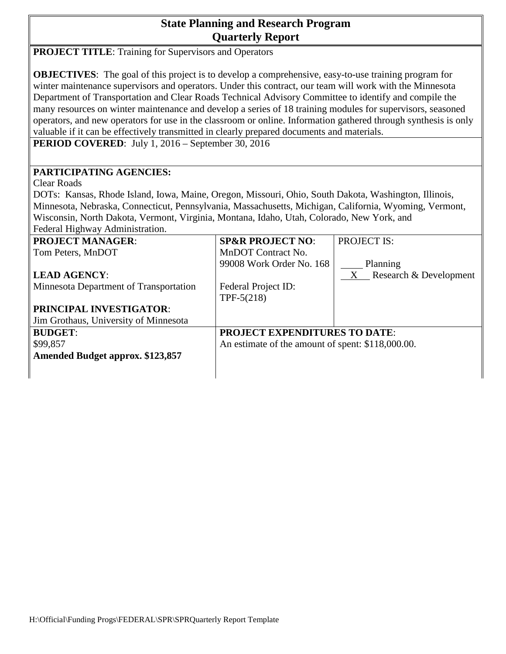## **State Planning and Research Program Quarterly Report**

| <b>PROJECT TITLE:</b> Training for Supervisors and Operators                                                                                                                                                                                                                                                                                                                                                                                                                                                                                                                                                                                                                                                                |                                                   |                        |
|-----------------------------------------------------------------------------------------------------------------------------------------------------------------------------------------------------------------------------------------------------------------------------------------------------------------------------------------------------------------------------------------------------------------------------------------------------------------------------------------------------------------------------------------------------------------------------------------------------------------------------------------------------------------------------------------------------------------------------|---------------------------------------------------|------------------------|
| <b>OBJECTIVES:</b> The goal of this project is to develop a comprehensive, easy-to-use training program for<br>winter maintenance supervisors and operators. Under this contract, our team will work with the Minnesota<br>Department of Transportation and Clear Roads Technical Advisory Committee to identify and compile the<br>many resources on winter maintenance and develop a series of 18 training modules for supervisors, seasoned<br>operators, and new operators for use in the classroom or online. Information gathered through synthesis is only<br>valuable if it can be effectively transmitted in clearly prepared documents and materials.<br><b>PERIOD COVERED:</b> July 1, 2016 – September 30, 2016 |                                                   |                        |
| PARTICIPATING AGENCIES:                                                                                                                                                                                                                                                                                                                                                                                                                                                                                                                                                                                                                                                                                                     |                                                   |                        |
| <b>Clear Roads</b>                                                                                                                                                                                                                                                                                                                                                                                                                                                                                                                                                                                                                                                                                                          |                                                   |                        |
| DOTs: Kansas, Rhode Island, Iowa, Maine, Oregon, Missouri, Ohio, South Dakota, Washington, Illinois,                                                                                                                                                                                                                                                                                                                                                                                                                                                                                                                                                                                                                        |                                                   |                        |
| Minnesota, Nebraska, Connecticut, Pennsylvania, Massachusetts, Michigan, California, Wyoming, Vermont,                                                                                                                                                                                                                                                                                                                                                                                                                                                                                                                                                                                                                      |                                                   |                        |
| Wisconsin, North Dakota, Vermont, Virginia, Montana, Idaho, Utah, Colorado, New York, and                                                                                                                                                                                                                                                                                                                                                                                                                                                                                                                                                                                                                                   |                                                   |                        |
| Federal Highway Administration.                                                                                                                                                                                                                                                                                                                                                                                                                                                                                                                                                                                                                                                                                             |                                                   |                        |
| <b>PROJECT MANAGER:</b>                                                                                                                                                                                                                                                                                                                                                                                                                                                                                                                                                                                                                                                                                                     | <b>SP&amp;R PROJECT NO:</b>                       | PROJECT IS:            |
| Tom Peters, MnDOT                                                                                                                                                                                                                                                                                                                                                                                                                                                                                                                                                                                                                                                                                                           | MnDOT Contract No.                                |                        |
|                                                                                                                                                                                                                                                                                                                                                                                                                                                                                                                                                                                                                                                                                                                             | 99008 Work Order No. 168                          | Planning               |
| <b>LEAD AGENCY:</b>                                                                                                                                                                                                                                                                                                                                                                                                                                                                                                                                                                                                                                                                                                         |                                                   | Research & Development |
| Minnesota Department of Transportation                                                                                                                                                                                                                                                                                                                                                                                                                                                                                                                                                                                                                                                                                      | Federal Project ID:                               |                        |
|                                                                                                                                                                                                                                                                                                                                                                                                                                                                                                                                                                                                                                                                                                                             | TPF- $5(218)$                                     |                        |
| PRINCIPAL INVESTIGATOR:                                                                                                                                                                                                                                                                                                                                                                                                                                                                                                                                                                                                                                                                                                     |                                                   |                        |
| Jim Grothaus, University of Minnesota                                                                                                                                                                                                                                                                                                                                                                                                                                                                                                                                                                                                                                                                                       |                                                   |                        |
| <b>BUDGET:</b>                                                                                                                                                                                                                                                                                                                                                                                                                                                                                                                                                                                                                                                                                                              | <b>PROJECT EXPENDITURES TO DATE:</b>              |                        |
| \$99,857                                                                                                                                                                                                                                                                                                                                                                                                                                                                                                                                                                                                                                                                                                                    | An estimate of the amount of spent: \$118,000.00. |                        |
| <b>Amended Budget approx. \$123,857</b>                                                                                                                                                                                                                                                                                                                                                                                                                                                                                                                                                                                                                                                                                     |                                                   |                        |
|                                                                                                                                                                                                                                                                                                                                                                                                                                                                                                                                                                                                                                                                                                                             |                                                   |                        |
|                                                                                                                                                                                                                                                                                                                                                                                                                                                                                                                                                                                                                                                                                                                             |                                                   |                        |